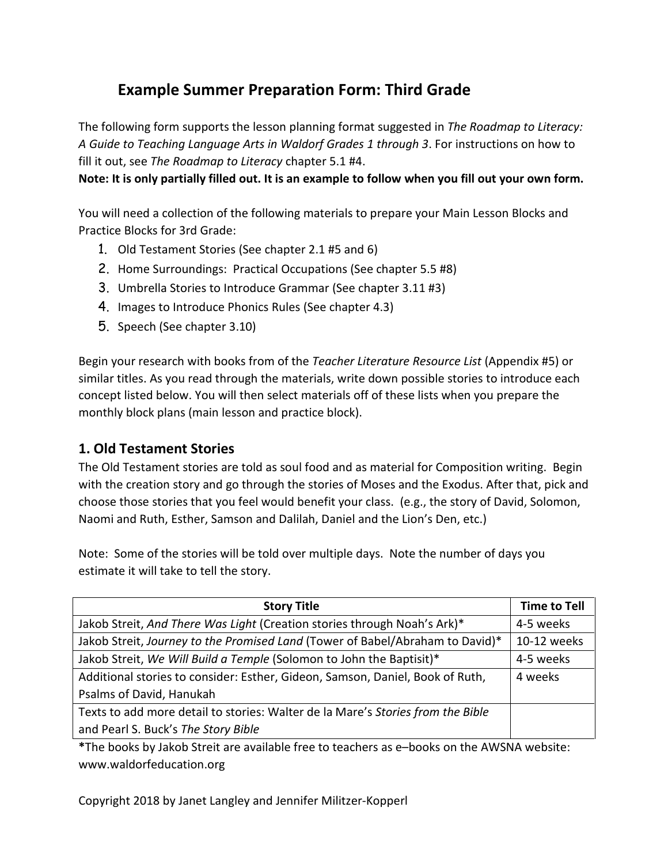# **Example Summer Preparation Form: Third Grade**

The following form supports the lesson planning format suggested in *The Roadmap to Literacy: A Guide to Teaching Language Arts in Waldorf Grades 1 through 3*. For instructions on how to fill it out, see *The Roadmap to Literacy* chapter 5.1 #4.

**Note: It is only partially filled out. It is an example to follow when you fill out your own form.**

You will need a collection of the following materials to prepare your Main Lesson Blocks and Practice Blocks for 3rd Grade:

- 1. Old Testament Stories (See chapter 2.1 #5 and 6)
- 2. Home Surroundings: Practical Occupations (See chapter 5.5 #8)
- 3. Umbrella Stories to Introduce Grammar (See chapter 3.11 #3)
- 4. Images to Introduce Phonics Rules (See chapter 4.3)
- 5. Speech (See chapter 3.10)

Begin your research with books from of the *Teacher Literature Resource List* (Appendix #5) or similar titles. As you read through the materials, write down possible stories to introduce each concept listed below. You will then select materials off of these lists when you prepare the monthly block plans (main lesson and practice block).

#### **1. Old Testament Stories**

The Old Testament stories are told as soul food and as material for Composition writing. Begin with the creation story and go through the stories of Moses and the Exodus. After that, pick and choose those stories that you feel would benefit your class. (e.g., the story of David, Solomon, Naomi and Ruth, Esther, Samson and Dalilah, Daniel and the Lion's Den, etc.)

Note: Some of the stories will be told over multiple days. Note the number of days you estimate it will take to tell the story.

| <b>Story Title</b>                                                              | <b>Time to Tell</b> |
|---------------------------------------------------------------------------------|---------------------|
| Jakob Streit, And There Was Light (Creation stories through Noah's Ark)*        | 4-5 weeks           |
| Jakob Streit, Journey to the Promised Land (Tower of Babel/Abraham to David)*   | 10-12 weeks         |
| Jakob Streit, We Will Build a Temple (Solomon to John the Baptisit)*            | 4-5 weeks           |
| Additional stories to consider: Esther, Gideon, Samson, Daniel, Book of Ruth,   | 4 weeks             |
| Psalms of David, Hanukah                                                        |                     |
| Texts to add more detail to stories: Walter de la Mare's Stories from the Bible |                     |
| and Pearl S. Buck's The Story Bible                                             |                     |

**\***The books by Jakob Streit are available free to teachers as e–books on the AWSNA website: www.waldorfeducation.org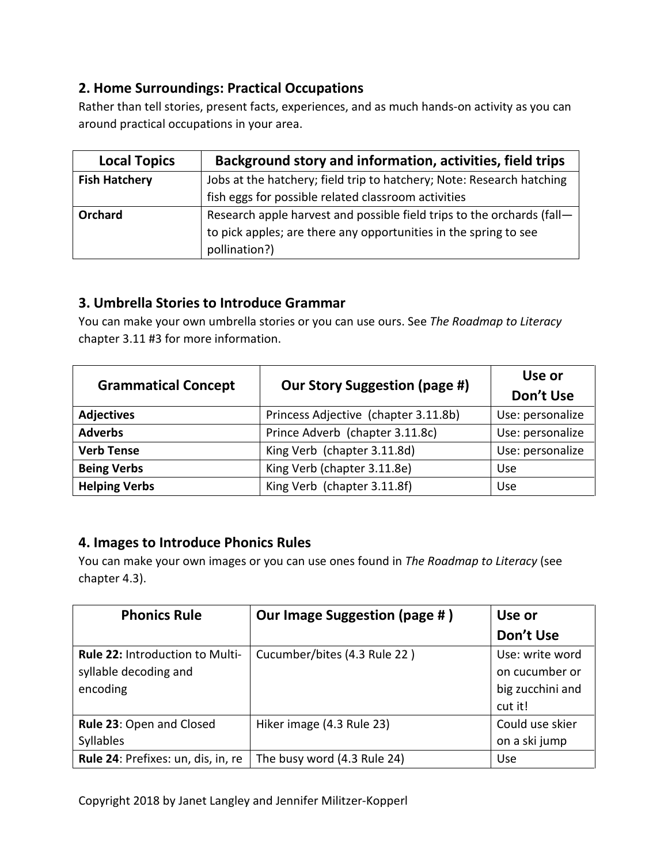# **2. Home Surroundings: Practical Occupations**

Rather than tell stories, present facts, experiences, and as much hands-on activity as you can around practical occupations in your area.

| <b>Local Topics</b>  | Background story and information, activities, field trips              |
|----------------------|------------------------------------------------------------------------|
| <b>Fish Hatchery</b> | Jobs at the hatchery; field trip to hatchery; Note: Research hatching  |
|                      | fish eggs for possible related classroom activities                    |
| <b>Orchard</b>       | Research apple harvest and possible field trips to the orchards (fall- |
|                      | to pick apples; are there any opportunities in the spring to see       |
|                      | pollination?)                                                          |

# **3. Umbrella Stories to Introduce Grammar**

You can make your own umbrella stories or you can use ours. See *The Roadmap to Literacy*  chapter 3.11 #3 for more information.

| <b>Grammatical Concept</b> | <b>Our Story Suggestion (page #)</b> | Use or<br>Don't Use |
|----------------------------|--------------------------------------|---------------------|
|                            |                                      |                     |
| <b>Adjectives</b>          | Princess Adjective (chapter 3.11.8b) | Use: personalize    |
| <b>Adverbs</b>             | Prince Adverb (chapter 3.11.8c)      | Use: personalize    |
| <b>Verb Tense</b>          | King Verb (chapter 3.11.8d)          | Use: personalize    |
| <b>Being Verbs</b>         | King Verb (chapter 3.11.8e)          | Use                 |
| <b>Helping Verbs</b>       | King Verb (chapter 3.11.8f)          | Use                 |

### **4. Images to Introduce Phonics Rules**

You can make your own images or you can use ones found in *The Roadmap to Literacy* (see chapter 4.3).

| <b>Phonics Rule</b>                | Our Image Suggestion (page #) | Use or           |
|------------------------------------|-------------------------------|------------------|
|                                    |                               | Don't Use        |
| Rule 22: Introduction to Multi-    | Cucumber/bites (4.3 Rule 22)  | Use: write word  |
| syllable decoding and              |                               | on cucumber or   |
| encoding                           |                               | big zucchini and |
|                                    |                               | cut it!          |
| Rule 23: Open and Closed           | Hiker image (4.3 Rule 23)     | Could use skier  |
| Syllables                          |                               | on a ski jump    |
| Rule 24: Prefixes: un, dis, in, re | The busy word (4.3 Rule 24)   | <b>Use</b>       |